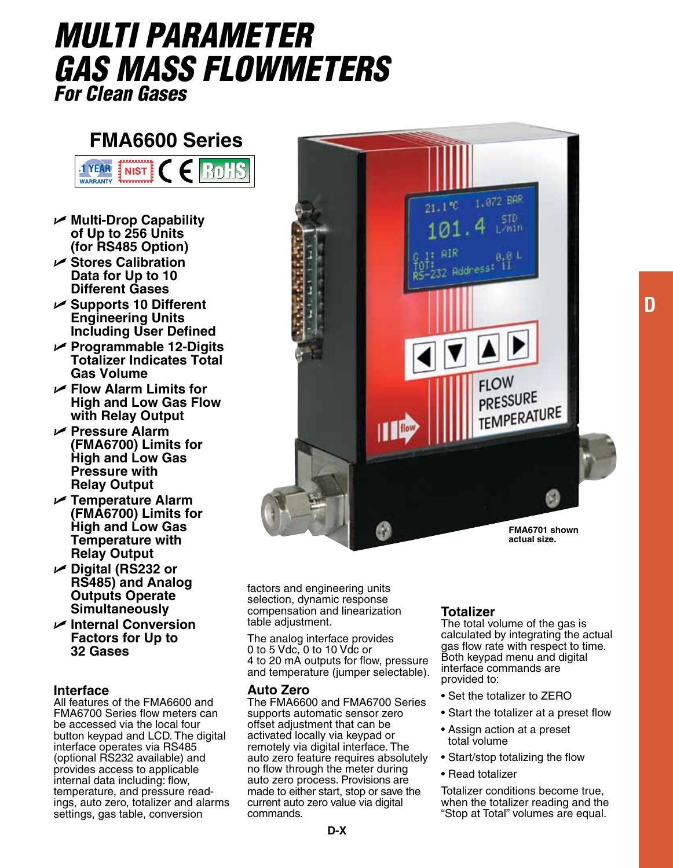# *Multi Parameter gas Mass FlowmeterS For Clean Gases*

## **FMA6600 Series**



- U **Multi-Drop Capability of Up to 256 Units (for RS485 Option)**
- U **Stores Calibration Data for Up to 10 Different Gases**
- U **Supports 10 Different Engineering Units Including User Defined**
- U **Programmable 12-Digits Totalizer Indicates Total Gas Volume**
- U **Flow Alarm Limits for High and Low Gas Flow with Relay Output**
- U **Pressure Alarm (FMA6700) Limits for High and Low Gas Pressure with Relay Output**
- U **Temperature Alarm (FMA6700) Limits for High and Low Gas Temperature with Relay Output**
- U **Digital (RS232 or RS485) and Analog Outputs Operate Simultaneously**
- U **Internal Conversion Factors for Up to 32 Gases**

#### **Interface**

All features of the FMA6600 and FMA6700 Series flow meters can be accessed via the local four button keypad and LCD. The digital interface operates via RS485 (optional RS232 available) and provides access to applicable internal data including: flow, ings, auto zero, totalizer and alarms settings, gas table, conversion



factors and engineering units selection, dynamic response compensation and linearization table adjustment.

The analog interface provides 0 to 5 Vdc, 0 to 10 Vdc or 4 to 20 mA outputs for flow, pressure and temperature (jumper selectable).

#### **Auto Zero**

The FMA6600 and FMA6700 Series supports automatic sensor zero offset adjustment that can be activated locally via keypad or remotely via digital interface. The auto zero feature requires absolutely no flow through the meter during auto zero process. Provisions are made to either start, stop or save the current auto zero value via digital commands.

#### **Totalizer**

The total volume of the gas is calculated by integrating the actual gas flow rate with respect to time. Both keypad menu and digital interface commands are provided to:

**D**

- Set the totalizer to ZERO
- Start the totalizer at a preset flow
- Assign action at a preset total volume
- Start/stop totalizing the flow
- Read totalizer

Totalizer conditions become true, when the totalizer reading and the "Stop at Total" volumes are equal.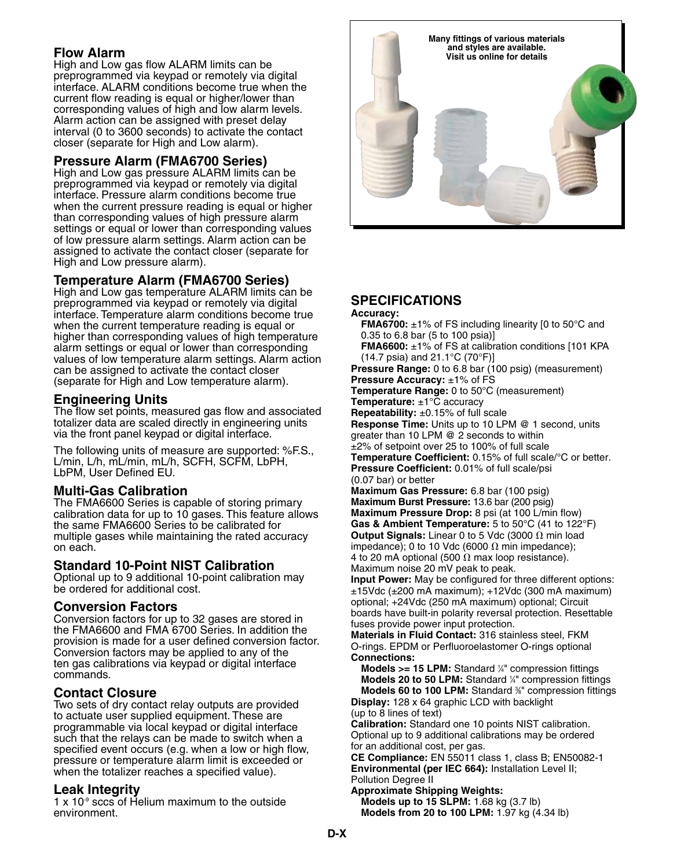## **Flow Alarm**

High and Low gas flow ALARM limits can be preprogrammed via keypad or remotely via digital interface. ALARM conditions become true when the current flow reading is equal or higher/lower than corresponding values of high and low alarm levels. Alarm action can be assigned with preset delay interval (0 to 3600 seconds) to activate the contact closer (separate for High and Low alarm).

## **Pressure Alarm (FMA6700 Series)**

High and Low gas pressure ALARM limits can be preprogrammed via keypad or remotely via digital interface. Pressure alarm conditions become true when the current pressure reading is equal or higher than corresponding values of high pressure alarm settings or equal or lower than corresponding values of low pressure alarm settings. Alarm action can be assigned to activate the contact closer (separate for High and Low pressure alarm).

## **Temperature Alarm (FMA6700 Series)**

High and Low gas temperature ALARM limits can be preprogrammed via keypad or remotely via digital interface. Temperature alarm conditions become true when the current temperature reading is equal or higher than corresponding values of high temperature alarm settings or equal or lower than corresponding values of low temperature alarm settings. Alarm action can be assigned to activate the contact closer (separate for High and Low temperature alarm).

## **Engineering Units**

The flow set points, measured gas flow and associated totalizer data are scaled directly in engineering units via the front panel keypad or digital interface.

The following units of measure are supported: %F.S., L/min, L/h, mL/min, mL/h, SCFH, SCFM, LbPH, LbPM, User Defined EU.

## **Multi-Gas Calibration**

The FMA6600 Series is capable of storing primary calibration data for up to 10 gases. This feature allows the same FMA6600 Series to be calibrated for multiple gases while maintaining the rated accuracy on each.

#### **Standard 10-Point NIST Calibration**

Optional up to 9 additional 10-point calibration may be ordered for additional cost.

#### **Conversion Factors**

Conversion factors for up to 32 gases are stored in the FMA6600 and FMA 6700 Series. In addition the provision is made for a user defined conversion factor. Conversion factors may be applied to any of the ten gas calibrations via keypad or digital interface commands.

## **Contact Closure**

Two sets of dry contact relay outputs are provided to actuate user supplied equipment. These are programmable via local keypad or digital interface such that the relays can be made to switch when a specified event occurs (e.g. when a low or high flow, pressure or temperature alarm limit is exceeded or when the totalizer reaches a specified value).

## **Leak Integrity**

 $1 \times 10<sup>9</sup>$  sccs of Helium maximum to the outside environment.



## **Specifications**

#### **Accuracy:**

**FMA6700:** ±1% of FS including linearity [0 to 50°C and 0.35 to 6.8 bar (5 to 100 psia)]

**FMA6600:** ±1% of FS at calibration conditions [101 KPA (14.7 psia) and 21.1°C (70°F)]

**Pressure Range:** 0 to 6.8 bar (100 psig) (measurement) **Pressure Accuracy:** ±1% of FS

**Temperature Range:** 0 to 50°C (measurement)

**Temperature:** ±1°C accuracy

**Repeatability:** ±0.15% of full scale

**Response Time:** Units up to 10 LPM @ 1 second, units greater than 10 LPM @ 2 seconds to within

±2% of setpoint over 25 to 100% of full scale

**Temperature Coefficient:** 0.15% of full scale/°C or better. **Pressure Coefficient:** 0.01% of full scale/psi

(0.07 bar) or better **Maximum Gas Pressure:** 6.8 bar (100 psig) **Maximum Burst Pressure:** 13.6 bar (200 psig) **Maximum Pressure Drop:** 8 psi (at 100 L/min flow) **Gas & Ambient Temperature:** 5 to 50°C (41 to 122°F) **Output Signals:** Linear 0 to 5 Vdc (3000  $\Omega$  min load impedance); 0 to 10 Vdc (6000  $\Omega$  min impedance); 4 to 20 mA optional (500  $\Omega$  max loop resistance). Maximum noise 20 mV peak to peak.

**Input Power:** May be configured for three different options:  $±15$ Vdc ( $±200$  mA maximum);  $+12$ Vdc (300 mA maximum) optional; +24Vdc (250 mA maximum) optional; Circuit boards have built-in polarity reversal protection. Resettable fuses provide power input protection.

**Materials in Fluid Contact:** 316 stainless steel, FKM O-rings. EPDM or Perfluoroelastomer O-rings optional **Connections:**

**Models >= 15 LPM:** Standard ¼" compression fittings Models 20 to 50 LPM: Standard <sup>1/4</sup> compression fittings **Models 60 to 100 LPM:** Standard <sup>3/</sup> compression fittings

**Display:** 128 x 64 graphic LCD with backlight (up to 8 lines of text) **Calibration:** Standard one 10 points NIST calibration.

Optional up to 9 additional calibrations may be ordered for an additional cost, per gas.

**CE Compliance:** EN 55011 class 1, class B; EN50082-1 **Environmental (per IEC 664):** Installation Level II; Pollution Degree II

**Approximate Shipping Weights: Models up to 15 SLPM:** 1.68 kg (3.7 lb) **Models from 20 to 100 LPM:** 1.97 kg (4.34 lb)